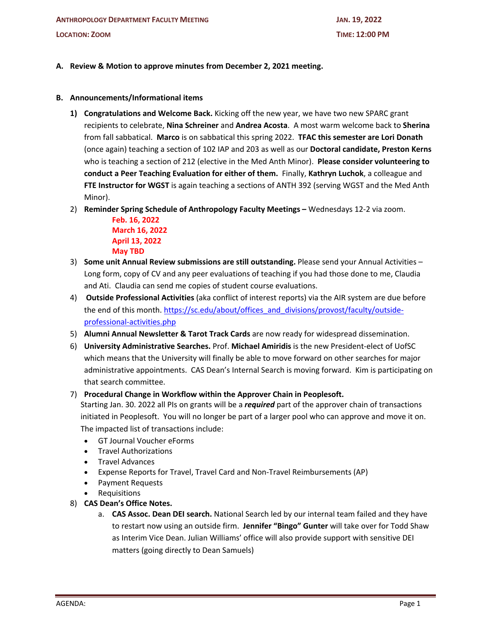### **A. Review & Motion to approve minutes from December 2, 2021 meeting.**

#### **B. Announcements/Informational items**

- **1) Congratulations and Welcome Back.** Kicking off the new year, we have two new SPARC grant recipients to celebrate, **Nina Schreiner** and **Andrea Acosta**. A most warm welcome back to **Sherina** from fall sabbatical. **Marco** is on sabbatical this spring 2022. **TFAC this semester are Lori Donath** (once again) teaching a section of 102 IAP and 203 as well as our **Doctoral candidate, Preston Kerns**  who is teaching a section of 212 (elective in the Med Anth Minor). **Please consider volunteering to conduct a Peer Teaching Evaluation for either of them.** Finally, **Kathryn Luchok**, a colleague and **FTE Instructor for WGST** is again teaching a sections of ANTH 392 (serving WGST and the Med Anth Minor).
- 2) **Reminder Spring Schedule of Anthropology Faculty Meetings –** Wednesdays 12-2 via zoom.

**Feb. 16, 2022 March 16, 2022 April 13, 2022 May TBD**

- 3) **Some unit Annual Review submissions are still outstanding.** Please send your Annual Activities Long form, copy of CV and any peer evaluations of teaching if you had those done to me, Claudia and Ati. Claudia can send me copies of student course evaluations.
- 4) **Outside Professional Activities** (aka conflict of interest reports) via the AIR system are due before the end of this month. https://sc.edu/about/offices\_and\_divisions/provost/faculty/outsideprofessional-activities.php
- 5) **Alumni Annual Newsletter & Tarot Track Cards** are now ready for widespread dissemination.
- 6) **University Administrative Searches.** Prof. **Michael Amiridis** is the new President-elect of UofSC which means that the University will finally be able to move forward on other searches for major administrative appointments. CAS Dean's Internal Search is moving forward. Kim is participating on that search committee.

### 7) **Procedural Change in Workflow within the Approver Chain in Peoplesoft.**

Starting Jan. 30. 2022 all PIs on grants will be a *required* part of the approver chain of transactions initiated in Peoplesoft. You will no longer be part of a larger pool who can approve and move it on. The impacted list of transactions include:

- GT Journal Voucher eForms
- Travel Authorizations
- Travel Advances
- Expense Reports for Travel, Travel Card and Non-Travel Reimbursements (AP)
- Payment Requests
- Requisitions
- 8) **CAS Dean's Office Notes.**
	- a. **CAS Assoc. Dean DEI search.** National Search led by our internal team failed and they have to restart now using an outside firm. **Jennifer "Bingo" Gunter** will take over for Todd Shaw as Interim Vice Dean. Julian Williams' office will also provide support with sensitive DEI matters (going directly to Dean Samuels)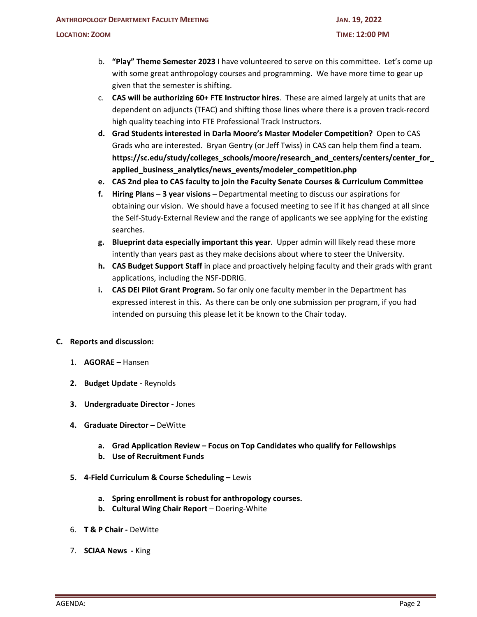- b. **"Play" Theme Semester 2023** I have volunteered to serve on this committee. Let's come up with some great anthropology courses and programming. We have more time to gear up given that the semester is shifting.
- c. **CAS will be authorizing 60+ FTE Instructor hires**. These are aimed largely at units that are dependent on adjuncts (TFAC) and shifting those lines where there is a proven track-record high quality teaching into FTE Professional Track Instructors.
- **d. Grad Students interested in Darla Moore's Master Modeler Competition?** Open to CAS Grads who are interested. Bryan Gentry (or Jeff Twiss) in CAS can help them find a team. **https://sc.edu/study/colleges\_schools/moore/research\_and\_centers/centers/center\_for\_ applied\_business\_analytics/news\_events/modeler\_competition.php**
- **e. CAS 2nd plea to CAS faculty to join the Faculty Senate Courses & Curriculum Committee**
- **f. Hiring Plans – 3 year visions –** Departmental meeting to discuss our aspirations for obtaining our vision. We should have a focused meeting to see if it has changed at all since the Self-Study-External Review and the range of applicants we see applying for the existing searches.
- **g. Blueprint data especially important this year**. Upper admin will likely read these more intently than years past as they make decisions about where to steer the University.
- **h. CAS Budget Support Staff** in place and proactively helping faculty and their grads with grant applications, including the NSF-DDRIG.
- **i. CAS DEI Pilot Grant Program.** So far only one faculty member in the Department has expressed interest in this. As there can be only one submission per program, if you had intended on pursuing this please let it be known to the Chair today.

### **C. Reports and discussion:**

- 1. **AGORAE –** Hansen
- **2. Budget Update** Reynolds
- **3. Undergraduate Director -** Jones
- **4. Graduate Director –** DeWitte
	- **a. Grad Application Review – Focus on Top Candidates who qualify for Fellowships**
	- **b. Use of Recruitment Funds**
- **5. 4-Field Curriculum & Course Scheduling –** Lewis
	- **a. Spring enrollment is robust for anthropology courses.**
	- **b. Cultural Wing Chair Report** Doering-White
- 6. **T & P Chair -** DeWitte
- 7. **SCIAA News -** King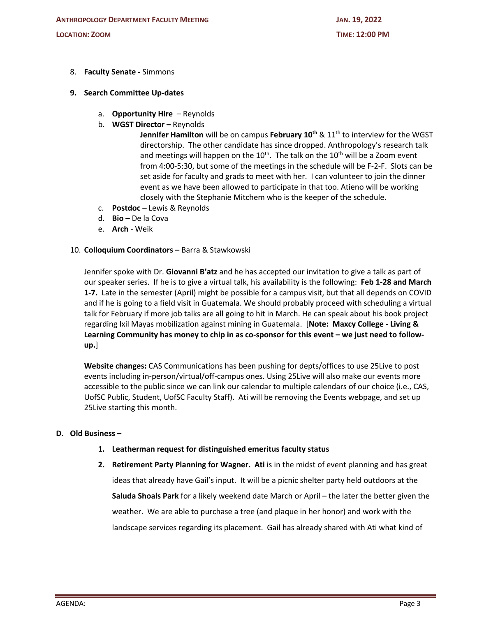- 8. **Faculty Senate -** Simmons
- **9. Search Committee Up-dates**
	- a. **Opportunity Hire** Reynolds
	- b. **WGST Director –** Reynolds

**Jennifer Hamilton** will be on campus **February 10<sup>th</sup> & 11<sup>th</sup> to interview for the WGST** directorship. The other candidate has since dropped. Anthropology's research talk and meetings will happen on the  $10^{th}$ . The talk on the  $10^{th}$  will be a Zoom event from 4:00-5:30, but some of the meetings in the schedule will be F-2-F. Slots can be set aside for faculty and grads to meet with her. I can volunteer to join the dinner event as we have been allowed to participate in that too. Atieno will be working closely with the Stephanie Mitchem who is the keeper of the schedule.

- c. **Postdoc –** Lewis & Reynolds
- d. **Bio –** De la Cova
- e. **Arch**  Weik

### 10. **Colloquium Coordinators –** Barra & Stawkowski

Jennifer spoke with Dr. **Giovanni B'atz** and he has accepted our invitation to give a talk as part of our speaker series. If he is to give a virtual talk, his availability is the following: **Feb 1-28 and March 1-7.** Late in the semester (April) might be possible for a campus visit, but that all depends on COVID and if he is going to a field visit in Guatemala. We should probably proceed with scheduling a virtual talk for February if more job talks are all going to hit in March. He can speak about his book project regarding Ixil Mayas mobilization against mining in Guatemala. [**Note: Maxcy College - Living & Learning Community has money to chip in as co-sponsor for this event – we just need to followup.**]

**Website changes:** CAS Communications has been pushing for depts/offices to use 25Live to post events including in-person/virtual/off-campus ones. Using 25Live will also make our events more accessible to the public since we can link our calendar to multiple calendars of our choice (i.e., CAS, UofSC Public, Student, UofSC Faculty Staff). Ati will be removing the Events webpage, and set up 25Live starting this month.

# **D. Old Business –**

- **1. Leatherman request for distinguished emeritus faculty status**
- **2. Retirement Party Planning for Wagner. Ati** is in the midst of event planning and has great ideas that already have Gail's input. It will be a picnic shelter party held outdoors at the **Saluda Shoals Park** for a likely weekend date March or April – the later the better given the weather. We are able to purchase a tree (and plaque in her honor) and work with the landscape services regarding its placement. Gail has already shared with Ati what kind of